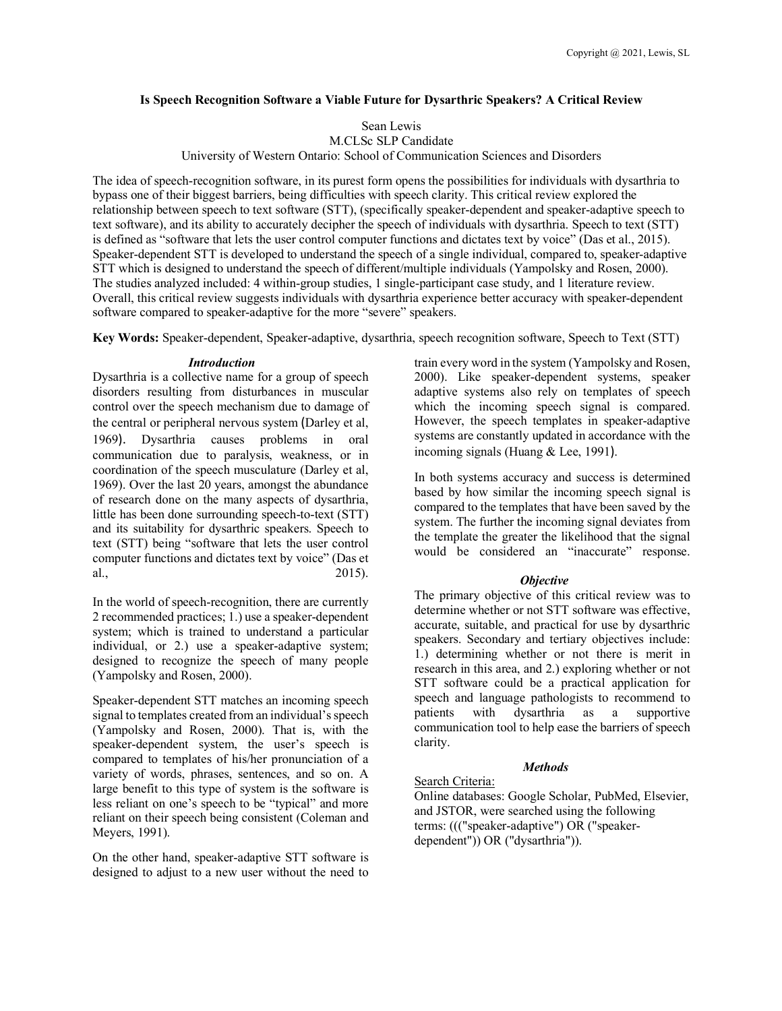### **Is Speech Recognition Software a Viable Future for Dysarthric Speakers? A Critical Review**

Sean Lewis

M.CLSc SLP Candidate

University of Western Ontario: School of Communication Sciences and Disorders

The idea of speech-recognition software, in its purest form opens the possibilities for individuals with dysarthria to bypass one of their biggest barriers, being difficulties with speech clarity. This critical review explored the relationship between speech to text software (STT), (specifically speaker-dependent and speaker-adaptive speech to text software), and its ability to accurately decipher the speech of individuals with dysarthria. Speech to text (STT) is defined as "software that lets the user control computer functions and dictates text by voice" (Das et al., 2015). Speaker-dependent STT is developed to understand the speech of a single individual, compared to, speaker-adaptive STT which is designed to understand the speech of different/multiple individuals (Yampolsky and Rosen, 2000). The studies analyzed included: 4 within-group studies, 1 single-participant case study, and 1 literature review. Overall, this critical review suggests individuals with dysarthria experience better accuracy with speaker-dependent software compared to speaker-adaptive for the more "severe" speakers.

**Key Words:** Speaker-dependent, Speaker-adaptive, dysarthria, speech recognition software, Speech to Text (STT)

### *Introduction*

Dysarthria is a collective name for a group of speech disorders resulting from disturbances in muscular control over the speech mechanism due to damage of the central or peripheral nervous system (Darley et al, 1969). Dysarthria causes problems in oral communication due to paralysis, weakness, or in coordination of the speech musculature (Darley et al, 1969). Over the last 20 years, amongst the abundance of research done on the many aspects of dysarthria, little has been done surrounding speech-to-text (STT) and its suitability for dysarthric speakers. Speech to text (STT) being "software that lets the user control computer functions and dictates text by voice" (Das et al., 2015).

In the world of speech-recognition, there are currently 2 recommended practices; 1.) use a speaker-dependent system; which is trained to understand a particular individual, or 2.) use a speaker-adaptive system; designed to recognize the speech of many people (Yampolsky and Rosen, 2000).

Speaker-dependent STT matches an incoming speech signal to templates created from an individual's speech (Yampolsky and Rosen, 2000). That is, with the speaker-dependent system, the user's speech is compared to templates of his/her pronunciation of a variety of words, phrases, sentences, and so on. A large benefit to this type of system is the software is less reliant on one's speech to be "typical" and more reliant on their speech being consistent (Coleman and Meyers, 1991).

On the other hand, speaker-adaptive STT software is designed to adjust to a new user without the need to train every word in the system (Yampolsky and Rosen, 2000). Like speaker-dependent systems, speaker adaptive systems also rely on templates of speech which the incoming speech signal is compared. However, the speech templates in speaker-adaptive systems are constantly updated in accordance with the incoming signals (Huang & Lee, 1991).

In both systems accuracy and success is determined based by how similar the incoming speech signal is compared to the templates that have been saved by the system. The further the incoming signal deviates from the template the greater the likelihood that the signal would be considered an "inaccurate" response.

# *Objective*

The primary objective of this critical review was to determine whether or not STT software was effective, accurate, suitable, and practical for use by dysarthric speakers. Secondary and tertiary objectives include: 1.) determining whether or not there is merit in research in this area, and 2.) exploring whether or not STT software could be a practical application for speech and language pathologists to recommend to patients with dysarthria as a supportive communication tool to help ease the barriers of speech clarity.

# *Methods*

Search Criteria:

Online databases: Google Scholar, PubMed, Elsevier, and JSTOR, were searched using the following terms: ((("speaker-adaptive") OR ("speakerdependent")) OR ("dysarthria")).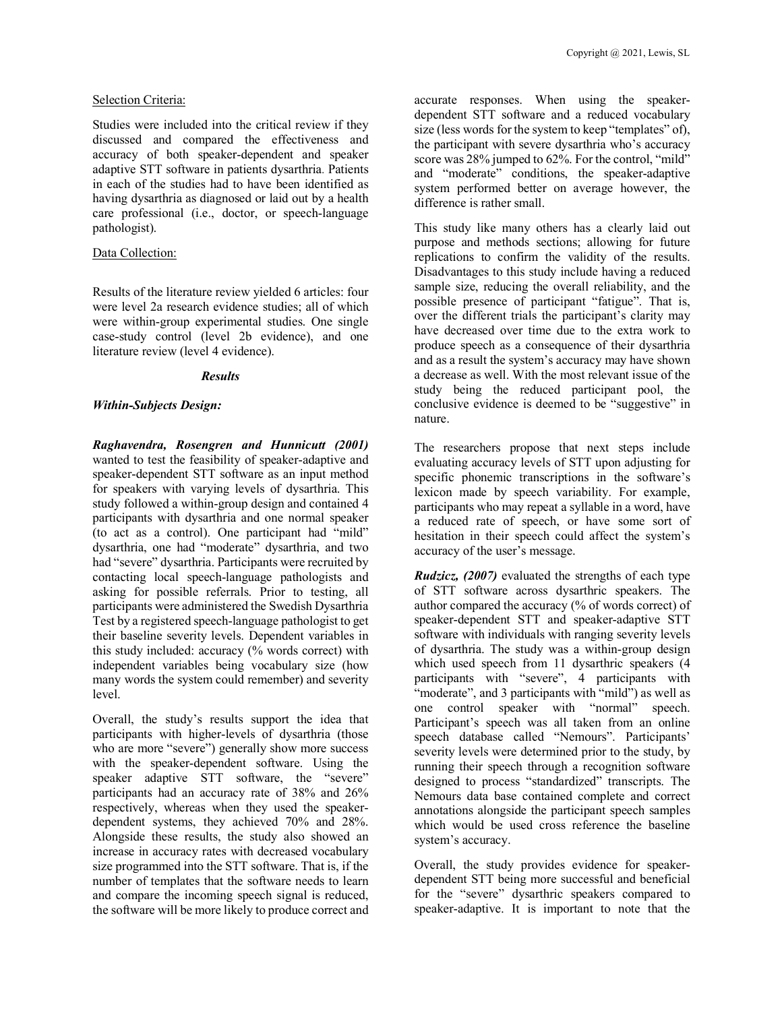### Selection Criteria:

Studies were included into the critical review if they discussed and compared the effectiveness and accuracy of both speaker-dependent and speaker adaptive STT software in patients dysarthria. Patients in each of the studies had to have been identified as having dysarthria as diagnosed or laid out by a health care professional (i.e., doctor, or speech-language pathologist).

# Data Collection:

Results of the literature review yielded 6 articles: four were level 2a research evidence studies; all of which were within-group experimental studies. One single case-study control (level 2b evidence), and one literature review (level 4 evidence).

#### *Results*

#### *Within-Subjects Design:*

*Raghavendra, Rosengren and Hunnicutt (2001)*  wanted to test the feasibility of speaker-adaptive and speaker-dependent STT software as an input method for speakers with varying levels of dysarthria. This study followed a within-group design and contained 4 participants with dysarthria and one normal speaker (to act as a control). One participant had "mild" dysarthria, one had "moderate" dysarthria, and two had "severe" dysarthria. Participants were recruited by contacting local speech-language pathologists and asking for possible referrals. Prior to testing, all participants were administered the Swedish Dysarthria Test by a registered speech-language pathologist to get their baseline severity levels. Dependent variables in this study included: accuracy (% words correct) with independent variables being vocabulary size (how many words the system could remember) and severity level.

Overall, the study's results support the idea that participants with higher-levels of dysarthria (those who are more "severe") generally show more success with the speaker-dependent software. Using the speaker adaptive STT software, the "severe" participants had an accuracy rate of 38% and 26% respectively, whereas when they used the speakerdependent systems, they achieved 70% and 28%. Alongside these results, the study also showed an increase in accuracy rates with decreased vocabulary size programmed into the STT software. That is, if the number of templates that the software needs to learn and compare the incoming speech signal is reduced, the software will be more likely to produce correct and accurate responses. When using the speakerdependent STT software and a reduced vocabulary size (less words for the system to keep "templates" of), the participant with severe dysarthria who's accuracy score was 28% jumped to 62%. For the control, "mild" and "moderate" conditions, the speaker-adaptive system performed better on average however, the difference is rather small.

This study like many others has a clearly laid out purpose and methods sections; allowing for future replications to confirm the validity of the results. Disadvantages to this study include having a reduced sample size, reducing the overall reliability, and the possible presence of participant "fatigue". That is, over the different trials the participant's clarity may have decreased over time due to the extra work to produce speech as a consequence of their dysarthria and as a result the system's accuracy may have shown a decrease as well. With the most relevant issue of the study being the reduced participant pool, the conclusive evidence is deemed to be "suggestive" in nature.

The researchers propose that next steps include evaluating accuracy levels of STT upon adjusting for specific phonemic transcriptions in the software's lexicon made by speech variability. For example, participants who may repeat a syllable in a word, have a reduced rate of speech, or have some sort of hesitation in their speech could affect the system's accuracy of the user's message.

*Rudzicz, (2007)* evaluated the strengths of each type of STT software across dysarthric speakers. The author compared the accuracy (% of words correct) of speaker-dependent STT and speaker-adaptive STT software with individuals with ranging severity levels of dysarthria. The study was a within-group design which used speech from 11 dysarthric speakers (4 participants with "severe", 4 participants with "moderate", and 3 participants with "mild" as well as one control speaker with "normal" speech. Participant's speech was all taken from an online speech database called "Nemours". Participants' severity levels were determined prior to the study, by running their speech through a recognition software designed to process "standardized" transcripts. The Nemours data base contained complete and correct annotations alongside the participant speech samples which would be used cross reference the baseline system's accuracy.

Overall, the study provides evidence for speakerdependent STT being more successful and beneficial for the "severe" dysarthric speakers compared to speaker-adaptive. It is important to note that the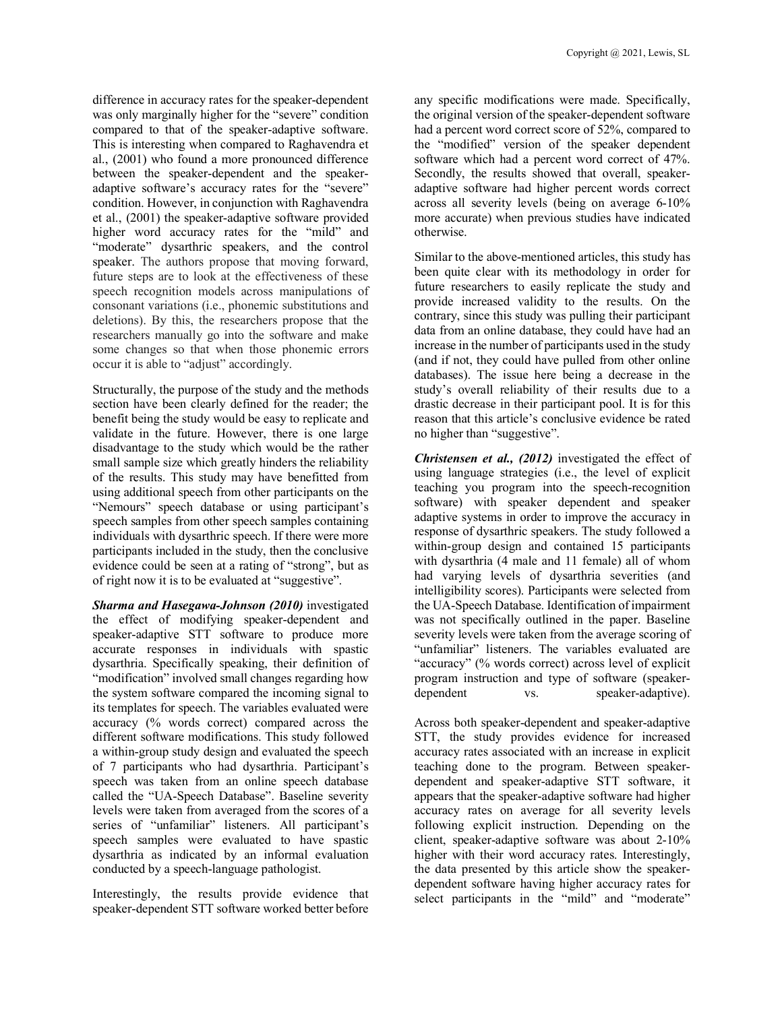difference in accuracy rates for the speaker-dependent was only marginally higher for the "severe" condition compared to that of the speaker-adaptive software. This is interesting when compared to Raghavendra et al., (2001) who found a more pronounced difference between the speaker-dependent and the speakeradaptive software's accuracy rates for the "severe" condition. However, in conjunction with Raghavendra et al., (2001) the speaker-adaptive software provided higher word accuracy rates for the "mild" and "moderate" dysarthric speakers, and the control speaker. The authors propose that moving forward, future steps are to look at the effectiveness of these speech recognition models across manipulations of consonant variations (i.e., phonemic substitutions and deletions). By this, the researchers propose that the researchers manually go into the software and make some changes so that when those phonemic errors occur it is able to "adjust" accordingly.

Structurally, the purpose of the study and the methods section have been clearly defined for the reader; the benefit being the study would be easy to replicate and validate in the future. However, there is one large disadvantage to the study which would be the rather small sample size which greatly hinders the reliability of the results. This study may have benefitted from using additional speech from other participants on the "Nemours" speech database or using participant's speech samples from other speech samples containing individuals with dysarthric speech. If there were more participants included in the study, then the conclusive evidence could be seen at a rating of "strong", but as of right now it is to be evaluated at "suggestive".

*Sharma and Hasegawa-Johnson (2010)* investigated the effect of modifying speaker-dependent and speaker-adaptive STT software to produce more accurate responses in individuals with spastic dysarthria. Specifically speaking, their definition of "modification" involved small changes regarding how the system software compared the incoming signal to its templates for speech. The variables evaluated were accuracy (% words correct) compared across the different software modifications. This study followed a within-group study design and evaluated the speech of 7 participants who had dysarthria. Participant's speech was taken from an online speech database called the "UA-Speech Database". Baseline severity levels were taken from averaged from the scores of a series of "unfamiliar" listeners. All participant's speech samples were evaluated to have spastic dysarthria as indicated by an informal evaluation conducted by a speech-language pathologist.

Interestingly, the results provide evidence that speaker-dependent STT software worked better before any specific modifications were made. Specifically, the original version of the speaker-dependent software had a percent word correct score of 52%, compared to the "modified" version of the speaker dependent software which had a percent word correct of 47%. Secondly, the results showed that overall, speakeradaptive software had higher percent words correct across all severity levels (being on average 6-10% more accurate) when previous studies have indicated otherwise.

Similar to the above-mentioned articles, this study has been quite clear with its methodology in order for future researchers to easily replicate the study and provide increased validity to the results. On the contrary, since this study was pulling their participant data from an online database, they could have had an increase in the number of participants used in the study (and if not, they could have pulled from other online databases). The issue here being a decrease in the study's overall reliability of their results due to a drastic decrease in their participant pool. It is for this reason that this article's conclusive evidence be rated no higher than "suggestive".

*Christensen et al., (2012)* investigated the effect of using language strategies (i.e., the level of explicit teaching you program into the speech-recognition software) with speaker dependent and speaker adaptive systems in order to improve the accuracy in response of dysarthric speakers. The study followed a within-group design and contained 15 participants with dysarthria (4 male and 11 female) all of whom had varying levels of dysarthria severities (and intelligibility scores). Participants were selected from the UA-Speech Database. Identification of impairment was not specifically outlined in the paper. Baseline severity levels were taken from the average scoring of "unfamiliar" listeners. The variables evaluated are "accuracy" (% words correct) across level of explicit program instruction and type of software (speakerdependent vs. speaker-adaptive).

Across both speaker-dependent and speaker-adaptive STT, the study provides evidence for increased accuracy rates associated with an increase in explicit teaching done to the program. Between speakerdependent and speaker-adaptive STT software, it appears that the speaker-adaptive software had higher accuracy rates on average for all severity levels following explicit instruction. Depending on the client, speaker-adaptive software was about 2-10% higher with their word accuracy rates. Interestingly, the data presented by this article show the speakerdependent software having higher accuracy rates for select participants in the "mild" and "moderate"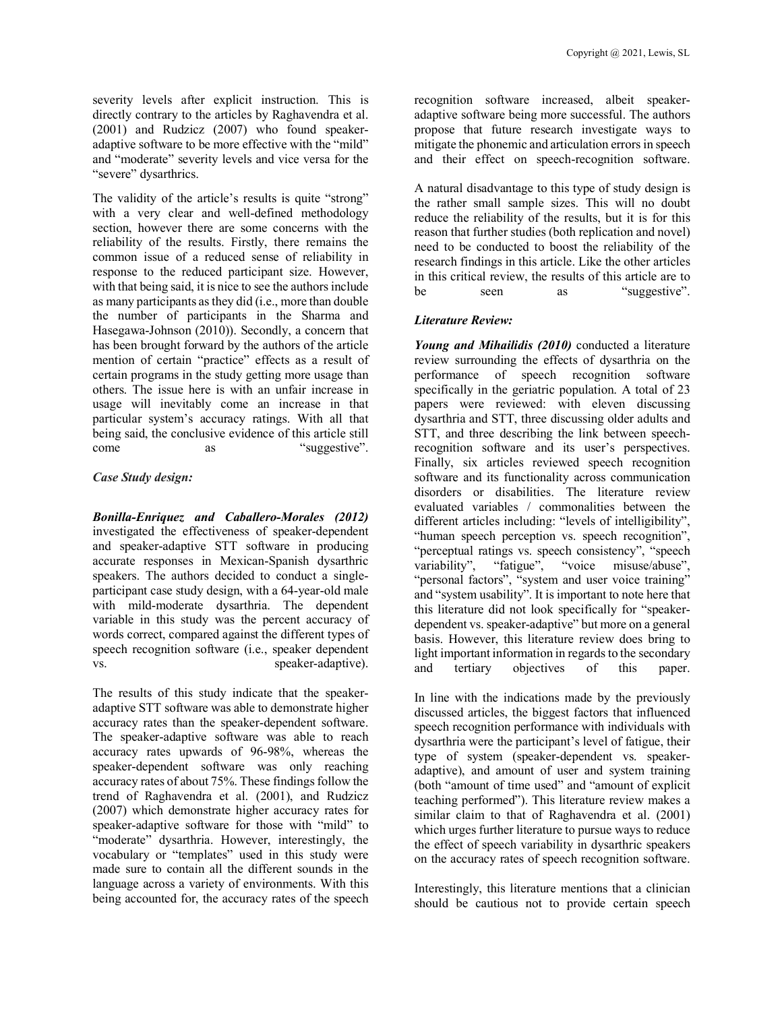severity levels after explicit instruction. This is directly contrary to the articles by Raghavendra et al. (2001) and Rudzicz (2007) who found speakeradaptive software to be more effective with the "mild" and "moderate" severity levels and vice versa for the "severe" dysarthrics.

The validity of the article's results is quite "strong" with a very clear and well-defined methodology section, however there are some concerns with the reliability of the results. Firstly, there remains the common issue of a reduced sense of reliability in response to the reduced participant size. However, with that being said, it is nice to see the authors include as many participants as they did (i.e., more than double the number of participants in the Sharma and Hasegawa-Johnson (2010)). Secondly, a concern that has been brought forward by the authors of the article mention of certain "practice" effects as a result of certain programs in the study getting more usage than others. The issue here is with an unfair increase in usage will inevitably come an increase in that particular system's accuracy ratings. With all that being said, the conclusive evidence of this article still come as "suggestive".

### *Case Study design:*

*Bonilla-Enriquez and Caballero-Morales (2012)* investigated the effectiveness of speaker-dependent and speaker-adaptive STT software in producing accurate responses in Mexican-Spanish dysarthric speakers. The authors decided to conduct a singleparticipant case study design, with a 64-year-old male with mild-moderate dysarthria. The dependent variable in this study was the percent accuracy of words correct, compared against the different types of speech recognition software (i.e., speaker dependent vs. speaker-adaptive).

The results of this study indicate that the speakeradaptive STT software was able to demonstrate higher accuracy rates than the speaker-dependent software. The speaker-adaptive software was able to reach accuracy rates upwards of 96-98%, whereas the speaker-dependent software was only reaching accuracy rates of about 75%. These findings follow the trend of Raghavendra et al. (2001), and Rudzicz (2007) which demonstrate higher accuracy rates for speaker-adaptive software for those with "mild" to "moderate" dysarthria. However, interestingly, the vocabulary or "templates" used in this study were made sure to contain all the different sounds in the language across a variety of environments. With this being accounted for, the accuracy rates of the speech

recognition software increased, albeit speakeradaptive software being more successful. The authors propose that future research investigate ways to mitigate the phonemic and articulation errors in speech and their effect on speech-recognition software.

A natural disadvantage to this type of study design is the rather small sample sizes. This will no doubt reduce the reliability of the results, but it is for this reason that further studies (both replication and novel) need to be conducted to boost the reliability of the research findings in this article. Like the other articles in this critical review, the results of this article are to be seen as "suggestive".

# *Literature Review:*

*Young and Mihailidis (2010)* conducted a literature review surrounding the effects of dysarthria on the performance of speech recognition software specifically in the geriatric population. A total of 23 papers were reviewed: with eleven discussing dysarthria and STT, three discussing older adults and STT, and three describing the link between speechrecognition software and its user's perspectives. Finally, six articles reviewed speech recognition software and its functionality across communication disorders or disabilities. The literature review evaluated variables / commonalities between the different articles including: "levels of intelligibility", "human speech perception vs. speech recognition", "perceptual ratings vs. speech consistency", "speech variability", "fatigue", "voice misuse/abuse", "personal factors", "system and user voice training" and "system usability". It is important to note here that this literature did not look specifically for "speakerdependent vs. speaker-adaptive" but more on a general basis. However, this literature review does bring to light important information in regards to the secondary and tertiary objectives of this paper.

In line with the indications made by the previously discussed articles, the biggest factors that influenced speech recognition performance with individuals with dysarthria were the participant's level of fatigue, their type of system (speaker-dependent vs. speakeradaptive), and amount of user and system training (both "amount of time used" and "amount of explicit teaching performed"). This literature review makes a similar claim to that of Raghavendra et al. (2001) which urges further literature to pursue ways to reduce the effect of speech variability in dysarthric speakers on the accuracy rates of speech recognition software.

Interestingly, this literature mentions that a clinician should be cautious not to provide certain speech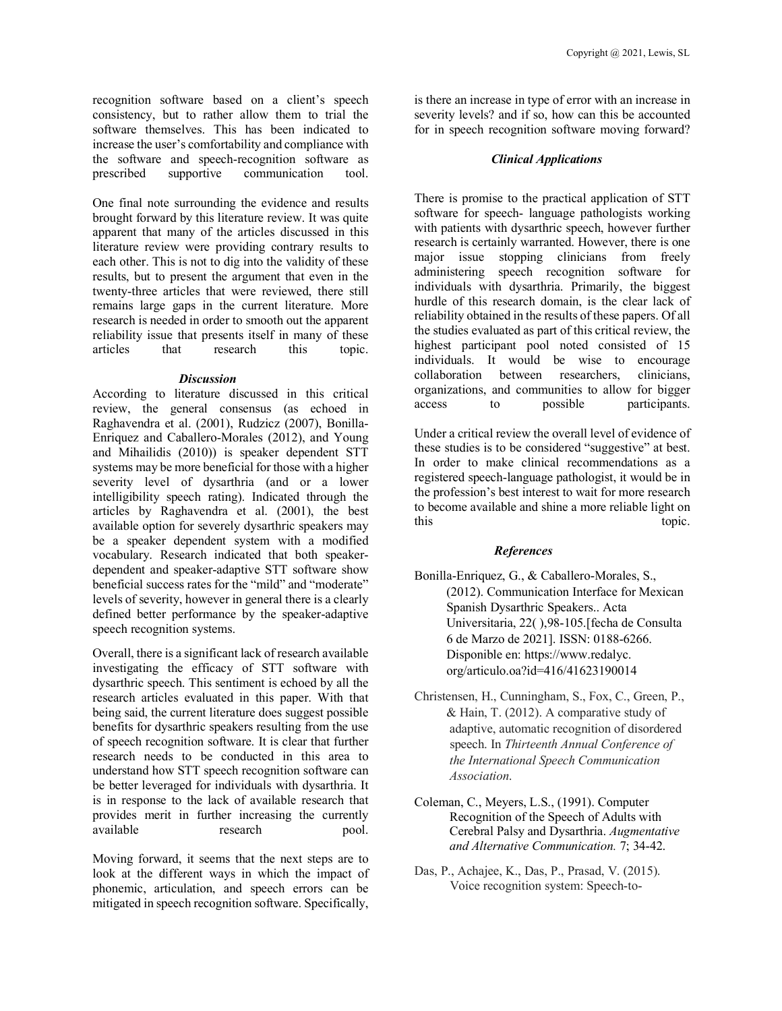recognition software based on a client's speech consistency, but to rather allow them to trial the software themselves. This has been indicated to increase the user's comfortability and compliance with the software and speech-recognition software as prescribed supportive communication tool.

One final note surrounding the evidence and results brought forward by this literature review. It was quite apparent that many of the articles discussed in this literature review were providing contrary results to each other. This is not to dig into the validity of these results, but to present the argument that even in the twenty-three articles that were reviewed, there still remains large gaps in the current literature. More research is needed in order to smooth out the apparent reliability issue that presents itself in many of these articles that research this topic.

### *Discussion*

According to literature discussed in this critical review, the general consensus (as echoed in Raghavendra et al. (2001), Rudzicz (2007), Bonilla-Enriquez and Caballero-Morales (2012), and Young and Mihailidis (2010)) is speaker dependent STT systems may be more beneficial for those with a higher severity level of dysarthria (and or a lower intelligibility speech rating). Indicated through the articles by Raghavendra et al. (2001), the best available option for severely dysarthric speakers may be a speaker dependent system with a modified vocabulary. Research indicated that both speakerdependent and speaker-adaptive STT software show beneficial success rates for the "mild" and "moderate" levels of severity, however in general there is a clearly defined better performance by the speaker-adaptive speech recognition systems.

Overall, there is a significant lack of research available investigating the efficacy of STT software with dysarthric speech. This sentiment is echoed by all the research articles evaluated in this paper. With that being said, the current literature does suggest possible benefits for dysarthric speakers resulting from the use of speech recognition software. It is clear that further research needs to be conducted in this area to understand how STT speech recognition software can be better leveraged for individuals with dysarthria. It is in response to the lack of available research that provides merit in further increasing the currently available research pool.

Moving forward, it seems that the next steps are to look at the different ways in which the impact of phonemic, articulation, and speech errors can be mitigated in speech recognition software. Specifically,

is there an increase in type of error with an increase in severity levels? and if so, how can this be accounted for in speech recognition software moving forward?

# *Clinical Applications*

There is promise to the practical application of STT software for speech- language pathologists working with patients with dysarthric speech, however further research is certainly warranted. However, there is one major issue stopping clinicians from freely administering speech recognition software for individuals with dysarthria. Primarily, the biggest hurdle of this research domain, is the clear lack of reliability obtained in the results of these papers. Of all the studies evaluated as part of this critical review, the highest participant pool noted consisted of 15 individuals. It would be wise to encourage collaboration between researchers, clinicians, organizations, and communities to allow for bigger access to possible participants.

Under a critical review the overall level of evidence of these studies is to be considered "suggestive" at best. In order to make clinical recommendations as a registered speech-language pathologist, it would be in the profession's best interest to wait for more research to become available and shine a more reliable light on this topic.

# *References*

- Bonilla-Enriquez, G., & Caballero-Morales, S., (2012). Communication Interface for Mexican Spanish Dysarthric Speakers.. Acta Universitaria, 22( ),98-105.[fecha de Consulta 6 de Marzo de 2021]. ISSN: 0188-6266. Disponible en: https://www.redalyc. org/articulo.oa?id=416/41623190014
- Christensen, H., Cunningham, S., Fox, C., Green, P., & Hain, T. (2012). A comparative study of adaptive, automatic recognition of disordered speech. In *Thirteenth Annual Conference of the International Speech Communication Association*.
- Coleman, C., Meyers, L.S., (1991). Computer Recognition of the Speech of Adults with Cerebral Palsy and Dysarthria. *Augmentative and Alternative Communication.* 7; 34-42.
- Das, P., Achajee, K., Das, P., Prasad, V. (2015). Voice recognition system: Speech-to-